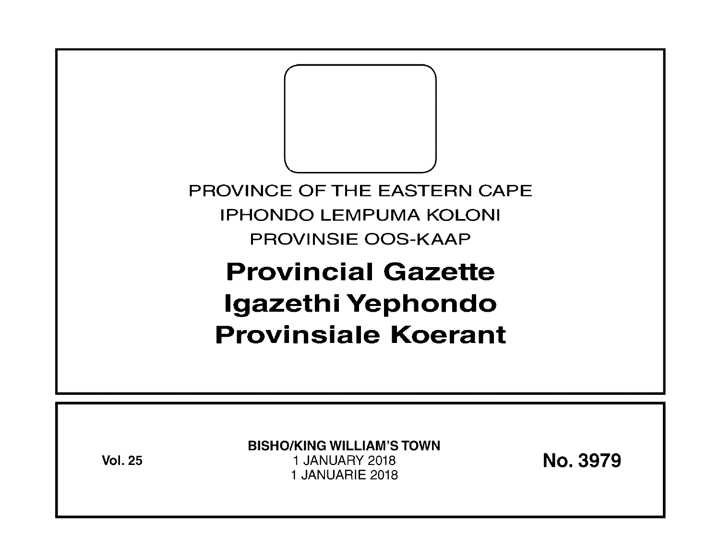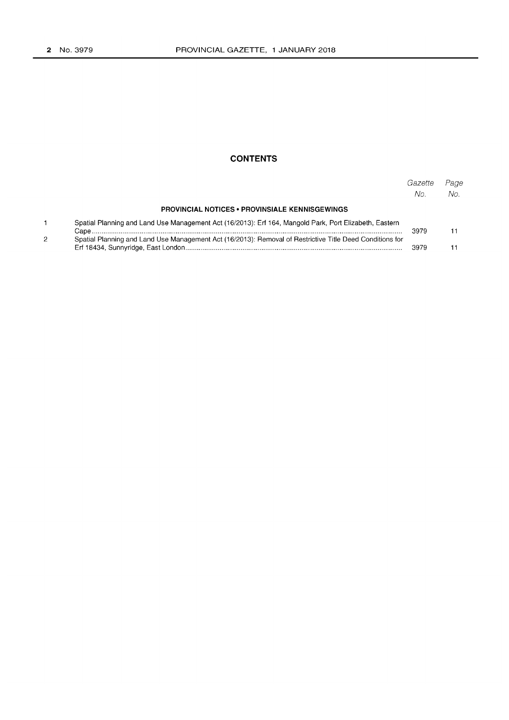## **CONTENTS**

|                                                                                                          | Gazette<br>No. | Page<br>$N_{\Omega}$ |
|----------------------------------------------------------------------------------------------------------|----------------|----------------------|
| <b>PROVINCIAL NOTICES • PROVINSIALE KENNISGEWINGS</b>                                                    |                |                      |
| Spatial Planning and Land Use Management Act (16/2013): Erf 164, Mangold Park, Port Elizabeth, Eastern   | 3979           |                      |
| Spatial Planning and Land Use Management Act (16/2013): Removal of Restrictive Title Deed Conditions for |                |                      |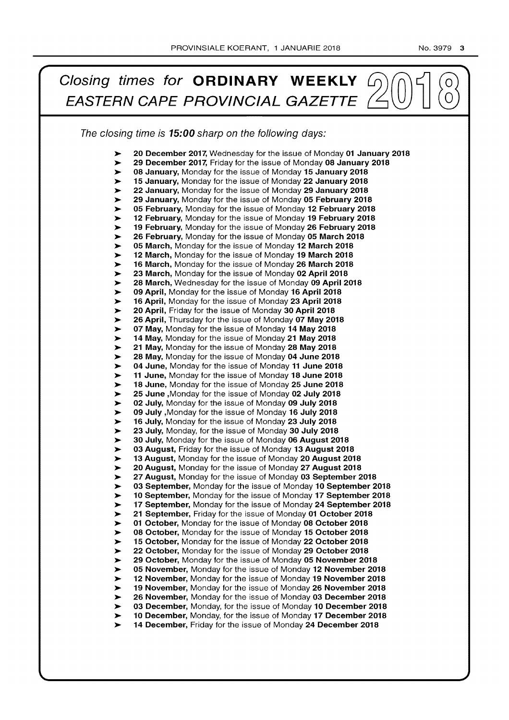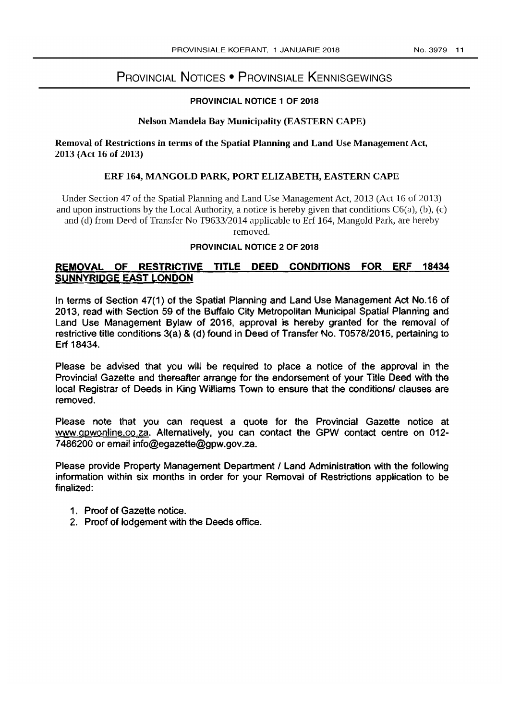# PROVINCIAL NOTICES • PROVINSIALE KENNISGEWINGS

#### PROVINCIAL NOTICE 1 OF 2018

## Nelson Mandela Bay Municipality (EASTERN CAPE)

#### Removal of Restrictions in terms of the Spatial Planning and Land Use Management Act, 2013 (Act 16 of 2013)

#### ERF 164, MANGOLD PARK, PORT ELIZABETH, EASTERN CAPE

Under Section 47 of the Spatial Planning and Land Use Management Act, 2013 (Act 16 of 2013) and upon instructions by the Local Authority, a notice is hereby given that conditions  $C6(a)$ , (b), (c) and (d) from Deed of Transfer No *T9633/2014* applicable to Erf 164, Mangold Park, are hereby removed.

#### PROVINCIAL NOTICE 2 OF 2018

# **REMOVAL OF RESTRICTIVE TITLE DEED CONDITIONS FOR ERF 18434 SUNNYRIDGE EAST LONDON**

In terms of Section 47(1) of the Spatial Planning and Land Use Management Act No.16 of 2013, read with Section 59 of the Buffalo City Metropolitan Municipal Spatial Planning and Land Use Management Bylaw of 2016, approval is hereby granted for the removal of restrictive title conditions 3(a) & (d) found in Deed of Transfer No. *T0578/2015,* pertaining to Erf 18434.

Please be advised that you will be required to place a notice of the approval in the Provincial Gazette and thereafter arrange for the endorsement of your Title Deed with the local Registrar of Deeds in King Williams Town to ensure that the conditions/ clauses are removed.

Please note that you can request a quote for the Provincial Gazette notice at www.gpwonline.co.za. Alternatively, you can contact the GPW contact centre on 012-7486200 or email info@egazette@gpw.gov.za.

Please provide Property Management Department / Land Administration with the following information within six months in order for your Removal of Restrictions application to be finalized:

- 1. Proof of Gazette notice.
- 2. Proof of lodgement with the Deeds office.